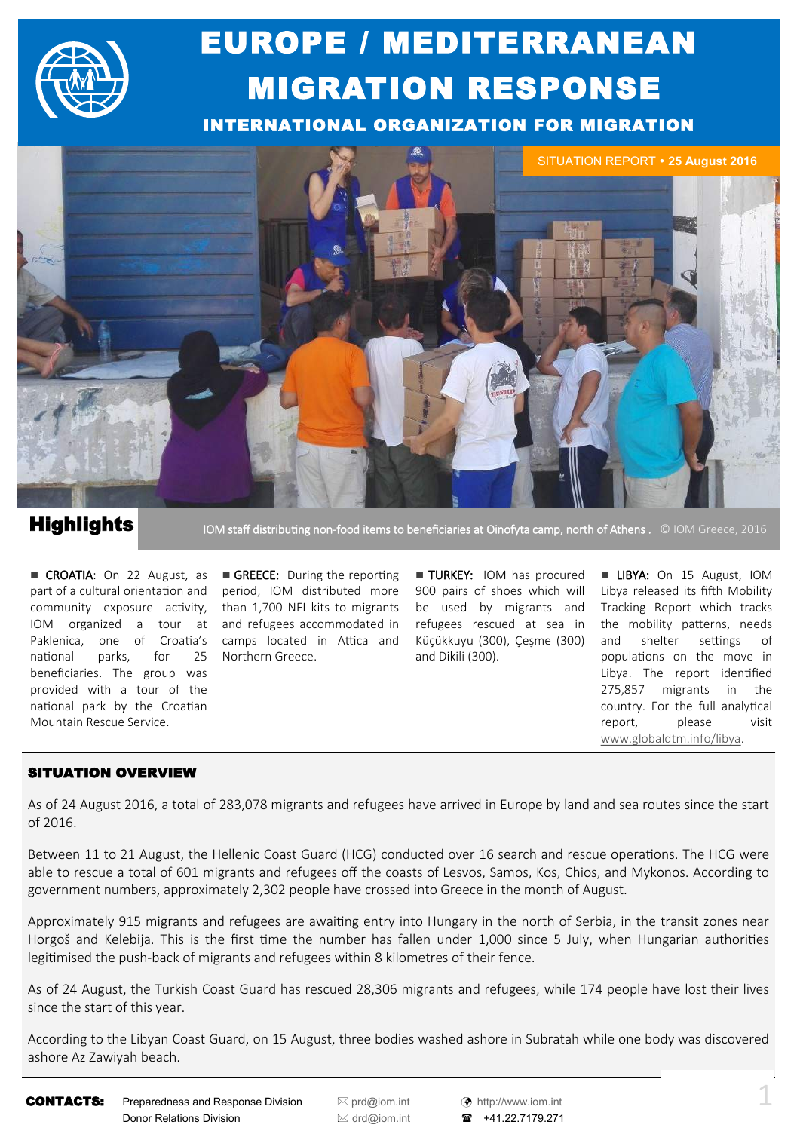

# EUROPE / MEDITERRANEAN MIGRATION RESPONSE

INTERNATIONAL ORGANIZATION FOR MIGRATION



### **Highlights**

IOM staff distributing non-food items to beneficiaries at Oinofyta camp, north of Athens . © IOM Greece, 2016

CROATIA: On 22 August, as part of a cultural orientation and community exposure activity, IOM organized a tour at Paklenica, one of Croatia's national parks, for 25 beneficiaries. The group was provided with a tour of the national park by the Croatian Mountain Rescue Service.

GREECE: During the reporting period, IOM distributed more than 1,700 NFI kits to migrants and refugees accommodated in camps located in Attica and Northern Greece.

**TURKEY:** IOM has procured 900 pairs of shoes which will be used by migrants and refugees rescued at sea in Küçükkuyu (300), Çeşme (300) and Dikili (300).

**LIBYA:** On 15 August, IOM Libya released its fifth Mobility Tracking Report which tracks the mobility patterns, needs and shelter settings of populations on the move in Libya. The report identified 275,857 migrants in the country. For the full analytical report, please visit [www.globaldtm.info/libya.](http://www.globaldtm.info/libya)

### SITUATION OVERVIEW

As of 24 August 2016, a total of 283,078 migrants and refugees have arrived in Europe by land and sea routes since the start of 2016.

Between 11 to 21 August, the Hellenic Coast Guard (HCG) conducted over 16 search and rescue operations. The HCG were able to rescue a total of 601 migrants and refugees off the coasts of Lesvos, Samos, Kos, Chios, and Mykonos. According to government numbers, approximately 2,302 people have crossed into Greece in the month of August.

Approximately 915 migrants and refugees are awaiting entry into Hungary in the north of Serbia, in the transit zones near Horgoš and Kelebija. This is the first time the number has fallen under 1,000 since 5 July, when Hungarian authorities legitimised the push-back of migrants and refugees within 8 kilometres of their fence.

As of 24 August, the Turkish Coast Guard has rescued 28,306 migrants and refugees, while 174 people have lost their lives since the start of this year.

According to the Libyan Coast Guard, on 15 August, three bodies washed ashore in Subratah while one body was discovered ashore Az Zawiyah beach.

**CONTACTS:** Preparedness and Response Division  $\boxtimes$  [prd@iom.int](mailto:prd@IOM.INT)  $\otimes$  [http://www.iom.int](http://www.iom.int/) Donor Relations Division **departum EX** [drd@iom.int](mailto:DRD@IOM.INT) **a** +41.22.7179.271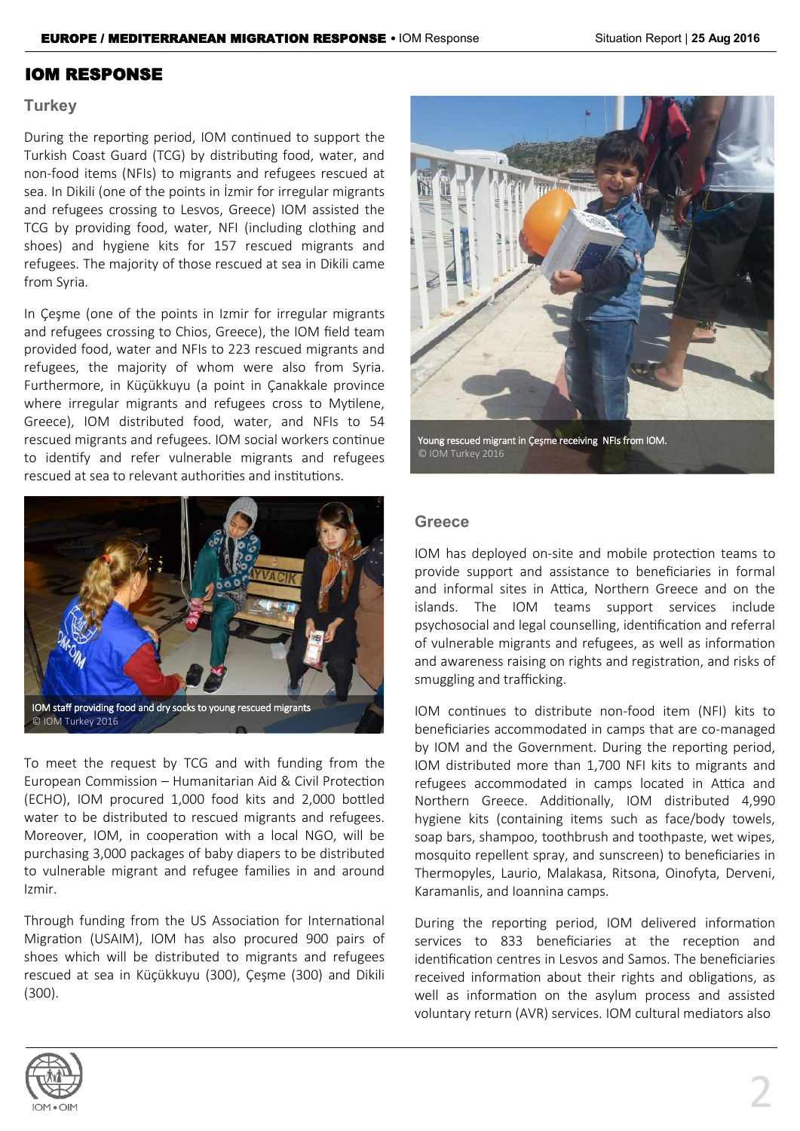### IOM RESPONSE

### **Turkey**

During the reporting period, IOM continued to support the Turkish Coast Guard (TCG) by distributing food, water, and non-food items (NFIs) to migrants and refugees rescued at sea. In Dikili (one of the points in İzmir for irregular migrants and refugees crossing to Lesvos, Greece) IOM assisted the TCG by providing food, water, NFI (including clothing and shoes) and hygiene kits for 157 rescued migrants and refugees. The majority of those rescued at sea in Dikili came from Syria.

In Çeşme (one of the points in Izmir for irregular migrants and refugees crossing to Chios, Greece), the IOM field team provided food, water and NFIs to 223 rescued migrants and refugees, the majority of whom were also from Syria. Furthermore, in Küçükkuyu (a point in Çanakkale province where irregular migrants and refugees cross to Mytilene, Greece), IOM distributed food, water, and NFIs to 54 rescued migrants and refugees. IOM social workers continue to identify and refer vulnerable migrants and refugees rescued at sea to relevant authorities and institutions.



To meet the request by TCG and with funding from the European Commission – Humanitarian Aid & Civil Protection (ECHO), IOM procured 1,000 food kits and 2,000 bottled water to be distributed to rescued migrants and refugees. Moreover, IOM, in cooperation with a local NGO, will be purchasing 3,000 packages of baby diapers to be distributed to vulnerable migrant and refugee families in and around Izmir.

Through funding from the US Association for International Migration (USAIM), IOM has also procured 900 pairs of shoes which will be distributed to migrants and refugees rescued at sea in Küçükkuyu (300), Çeşme (300) and Dikili (300).



Young rescued migrant in Çeşme receiving NFIs from IOM. © IOM Turkey 2016

### **Greece**

IOM has deployed on-site and mobile protection teams to provide support and assistance to beneficiaries in formal and informal sites in Attica, Northern Greece and on the islands. The IOM teams support services include psychosocial and legal counselling, identification and referral of vulnerable migrants and refugees, as well as information and awareness raising on rights and registration, and risks of smuggling and trafficking.

IOM continues to distribute non-food item (NFI) kits to beneficiaries accommodated in camps that are co-managed by IOM and the Government. During the reporting period, IOM distributed more than 1,700 NFI kits to migrants and refugees accommodated in camps located in Attica and Northern Greece. Additionally, IOM distributed 4,990 hygiene kits (containing items such as face/body towels, soap bars, shampoo, toothbrush and toothpaste, wet wipes, mosquito repellent spray, and sunscreen) to beneficiaries in Thermopyles, Laurio, Malakasa, Ritsona, Oinofyta, Derveni, Karamanlis, and Ioannina camps.

During the reporting period, IOM delivered information services to 833 beneficiaries at the reception and identification centres in Lesvos and Samos. The beneficiaries received information about their rights and obligations, as well as information on the asylum process and assisted voluntary return (AVR) services. IOM cultural mediators also

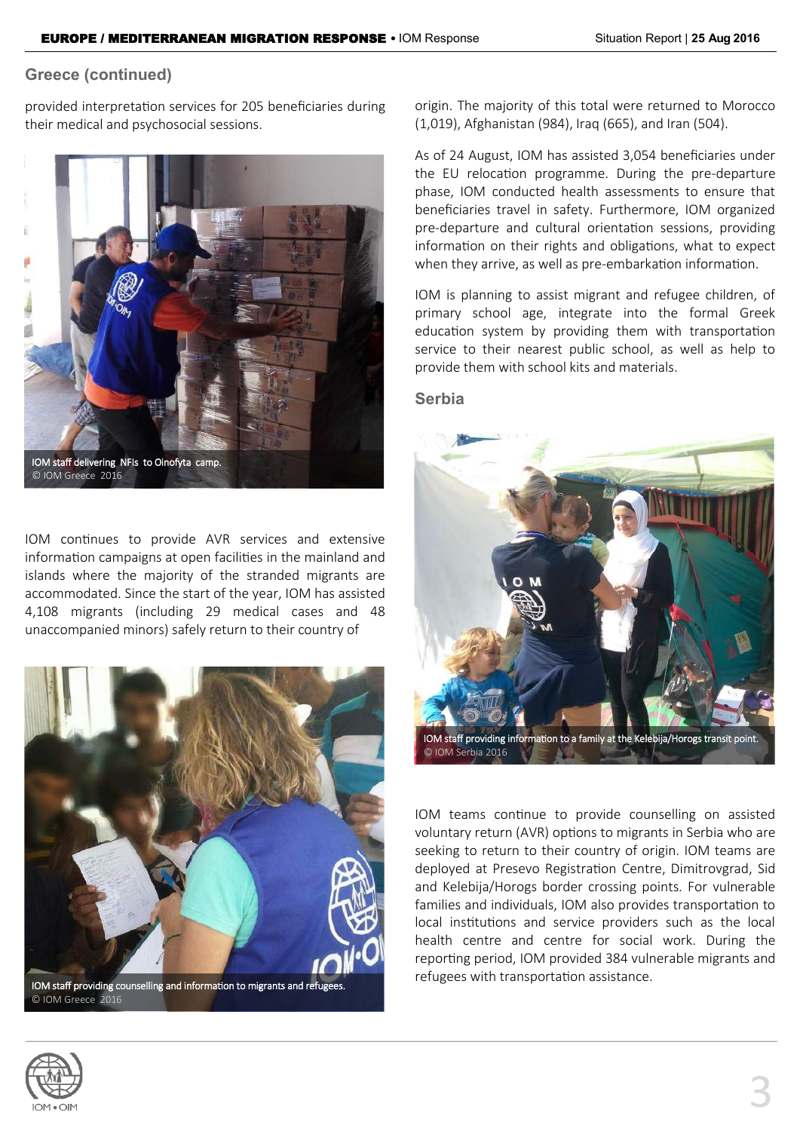### **Greece (continued)**

provided interpretation services for 205 beneficiaries during their medical and psychosocial sessions.



IOM continues to provide AVR services and extensive information campaigns at open facilities in the mainland and islands where the majority of the stranded migrants are accommodated. Since the start of the year, IOM has assisted 4,108 migrants (including 29 medical cases and 48 unaccompanied minors) safely return to their country of



IOM staff providing counselling and information to migrants and refugees. © IOM Greece 2016

origin. The majority of this total were returned to Morocco (1,019), Afghanistan (984), Iraq (665), and Iran (504).

As of 24 August, IOM has assisted 3,054 beneficiaries under the EU relocation programme. During the pre-departure phase, IOM conducted health assessments to ensure that beneficiaries travel in safety. Furthermore, IOM organized pre-departure and cultural orientation sessions, providing information on their rights and obligations, what to expect when they arrive, as well as pre-embarkation information.

IOM is planning to assist migrant and refugee children, of primary school age, integrate into the formal Greek education system by providing them with transportation service to their nearest public school, as well as help to provide them with school kits and materials.

### **Serbia**



IOM staff providing information to a family at the Kelebija/Horogs transit point. © IOM Serbia 2016 お習に

IOM teams continue to provide counselling on assisted voluntary return (AVR) options to migrants in Serbia who are seeking to return to their country of origin. IOM teams are deployed at Presevo Registration Centre, Dimitrovgrad, Sid and Kelebija/Horogs border crossing points. For vulnerable families and individuals, IOM also provides transportation to local institutions and service providers such as the local health centre and centre for social work. During the reporting period, IOM provided 384 vulnerable migrants and refugees with transportation assistance.

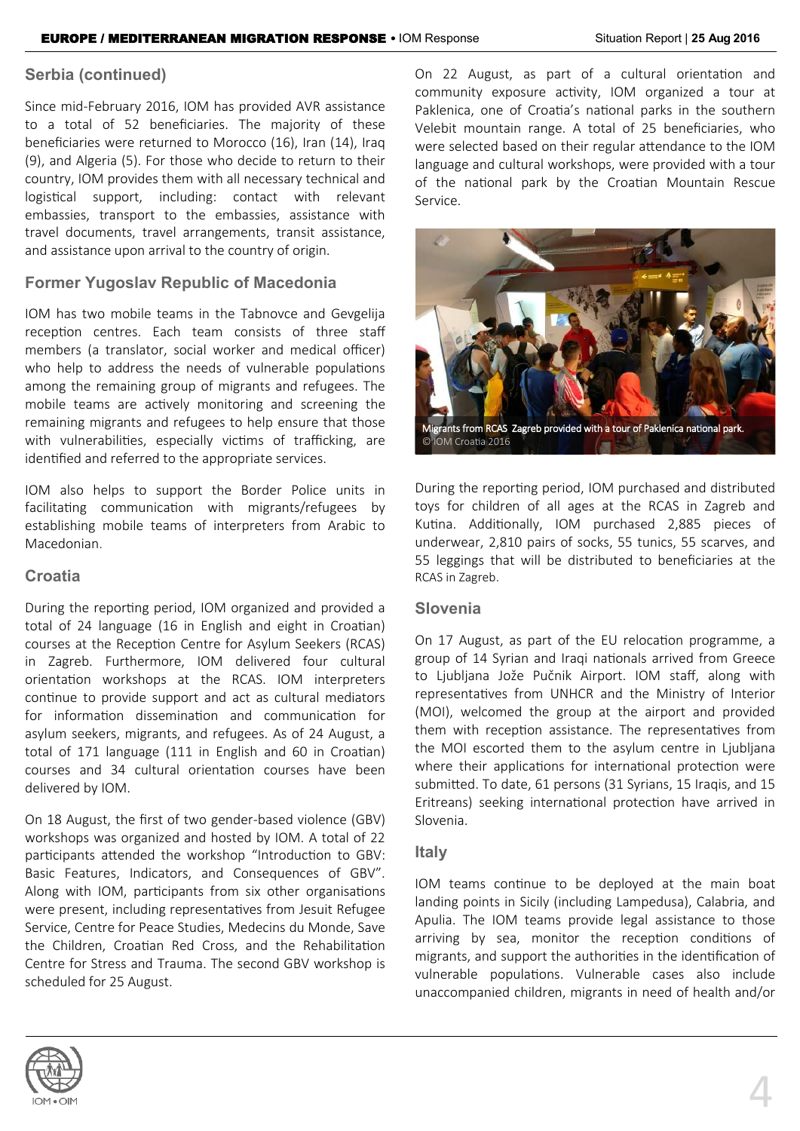### **Serbia (continued)**

Since mid-February 2016, IOM has provided AVR assistance to a total of 52 beneficiaries. The majority of these beneficiaries were returned to Morocco (16), Iran (14), Iraq (9), and Algeria (5). For those who decide to return to their country, IOM provides them with all necessary technical and logistical support, including: contact with relevant embassies, transport to the embassies, assistance with travel documents, travel arrangements, transit assistance, and assistance upon arrival to the country of origin.

### **Former Yugoslav Republic of Macedonia**

IOM has two mobile teams in the Tabnovce and Gevgelija reception centres. Each team consists of three staff members (a translator, social worker and medical officer) who help to address the needs of vulnerable populations among the remaining group of migrants and refugees. The mobile teams are actively monitoring and screening the remaining migrants and refugees to help ensure that those with vulnerabilities, especially victims of trafficking, are identified and referred to the appropriate services.

IOM also helps to support the Border Police units in facilitating communication with migrants/refugees by establishing mobile teams of interpreters from Arabic to Macedonian.

### **Croatia**

During the reporting period, IOM organized and provided a total of 24 language (16 in English and eight in Croatian) courses at the Reception Centre for Asylum Seekers (RCAS) in Zagreb. Furthermore, IOM delivered four cultural orientation workshops at the RCAS. IOM interpreters continue to provide support and act as cultural mediators for information dissemination and communication for asylum seekers, migrants, and refugees. As of 24 August, a total of 171 language (111 in English and 60 in Croatian) courses and 34 cultural orientation courses have been delivered by IOM.

On 18 August, the first of two gender-based violence (GBV) workshops was organized and hosted by IOM. A total of 22 participants attended the workshop "Introduction to GBV: Basic Features, Indicators, and Consequences of GBV". Along with IOM, participants from six other organisations were present, including representatives from Jesuit Refugee Service, Centre for Peace Studies, Medecins du Monde, Save the Children, Croatian Red Cross, and the Rehabilitation Centre for Stress and Trauma. The second GBV workshop is scheduled for 25 August.

On 22 August, as part of a cultural orientation and community exposure activity, IOM organized a tour at Paklenica, one of Croatia's national parks in the southern Velebit mountain range. A total of 25 beneficiaries, who were selected based on their regular attendance to the IOM language and cultural workshops, were provided with a tour of the national park by the Croatian Mountain Rescue Service.



During the reporting period, IOM purchased and distributed toys for children of all ages at the RCAS in Zagreb and Kutina. Additionally, IOM purchased 2,885 pieces of underwear, 2,810 pairs of socks, 55 tunics, 55 scarves, and 55 leggings that will be distributed to beneficiaries at the RCAS in Zagreb.

### **Slovenia**

On 17 August, as part of the EU relocation programme, a group of 14 Syrian and Iraqi nationals arrived from Greece to Ljubljana Jože Pučnik Airport. IOM staff, along with representatives from UNHCR and the Ministry of Interior (MOI), welcomed the group at the airport and provided them with reception assistance. The representatives from the MOI escorted them to the asylum centre in Ljubljana where their applications for international protection were submitted. To date, 61 persons (31 Syrians, 15 Iraqis, and 15 Eritreans) seeking international protection have arrived in Slovenia.

### **Italy**

IOM teams continue to be deployed at the main boat landing points in Sicily (including Lampedusa), Calabria, and Apulia. The IOM teams provide legal assistance to those arriving by sea, monitor the reception conditions of migrants, and support the authorities in the identification of vulnerable populations. Vulnerable cases also include unaccompanied children, migrants in need of health and/or

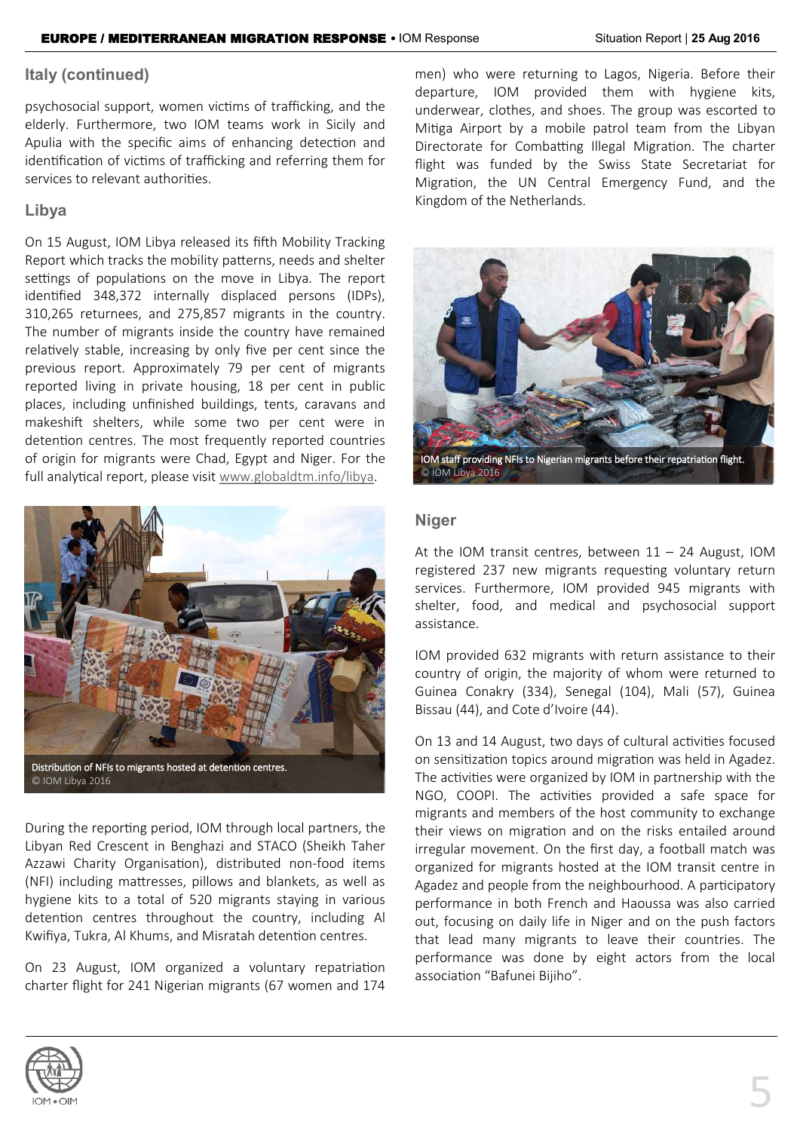### **Italy (continued)**

psychosocial support, women victims of trafficking, and the elderly. Furthermore, two IOM teams work in Sicily and Apulia with the specific aims of enhancing detection and identification of victims of trafficking and referring them for services to relevant authorities.

### **Libya**

On 15 August, IOM Libya released its fifth Mobility Tracking Report which tracks the mobility patterns, needs and shelter settings of populations on the move in Libya. The report identified 348,372 internally displaced persons (IDPs), 310,265 returnees, and 275,857 migrants in the country. The number of migrants inside the country have remained relatively stable, increasing by only five per cent since the previous report. Approximately 79 per cent of migrants reported living in private housing, 18 per cent in public places, including unfinished buildings, tents, caravans and makeshift shelters, while some two per cent were in detention centres. The most frequently reported countries of origin for migrants were Chad, Egypt and Niger. For the full analytical report, please visit [www.globaldtm.info/libya.](http://www.globaldtm.info/libya) 



During the reporting period, IOM through local partners, the Libyan Red Crescent in Benghazi and STACO (Sheikh Taher Azzawi Charity Organisation), distributed non-food items (NFI) including mattresses, pillows and blankets, as well as hygiene kits to a total of 520 migrants staying in various detention centres throughout the country, including Al Kwifiya, Tukra, Al Khums, and Misratah detention centres.

On 23 August, IOM organized a voluntary repatriation charter flight for 241 Nigerian migrants (67 women and 174

men) who were returning to Lagos, Nigeria. Before their departure, IOM provided them with hygiene kits, underwear, clothes, and shoes. The group was escorted to Mitiga Airport by a mobile patrol team from the Libyan Directorate for Combatting Illegal Migration. The charter flight was funded by the Swiss State Secretariat for Migration, the UN Central Emergency Fund, and the Kingdom of the Netherlands.



### **Niger**

At the IOM transit centres, between  $11 - 24$  August, IOM registered 237 new migrants requesting voluntary return services. Furthermore, IOM provided 945 migrants with shelter, food, and medical and psychosocial support assistance.

IOM provided 632 migrants with return assistance to their country of origin, the majority of whom were returned to Guinea Conakry (334), Senegal (104), Mali (57), Guinea Bissau (44), and Cote d'Ivoire (44).

On 13 and 14 August, two days of cultural activities focused on sensitization topics around migration was held in Agadez. The activities were organized by IOM in partnership with the NGO, COOPI. The activities provided a safe space for migrants and members of the host community to exchange their views on migration and on the risks entailed around irregular movement. On the first day, a football match was organized for migrants hosted at the IOM transit centre in Agadez and people from the neighbourhood. A participatory performance in both French and Haoussa was also carried out, focusing on daily life in Niger and on the push factors that lead many migrants to leave their countries. The performance was done by eight actors from the local association "Bafunei Bijiho".

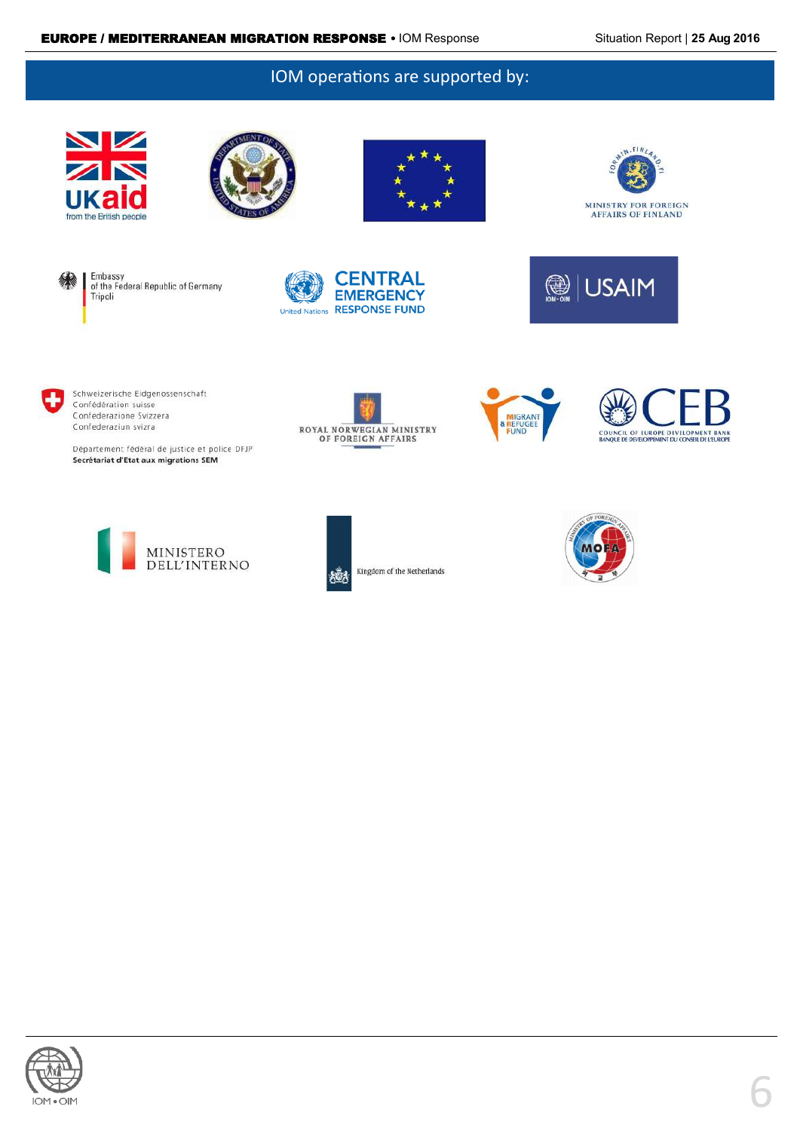### IOM operations are supported by:

















Département fédéral de justice et police DFJP Secrétariat d'Etat aux migrations SEM











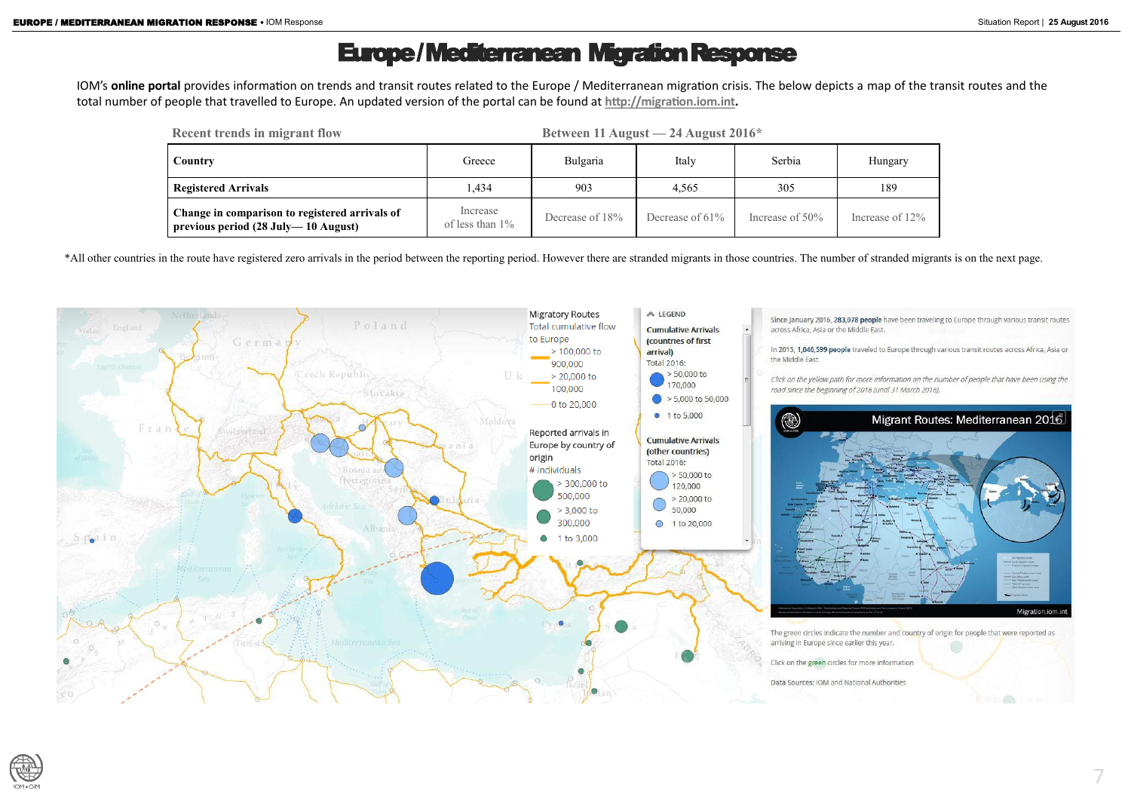# Europe / Mediterranean Migration Response

IOM's **online portal** provides information on trends and transit routes related to the Europe / Mediterranean migration crisis. The below depicts a map of the transit routes and the total number of people that travelled to Europe. An updated version of the portal can be found at **[http://migration.iom.int.](http://migration.iom.int)** 

\*All other countries in the route have registered zero arrivals in the period between the reporting period. However there are stranded migrants in those countries. The number of stranded migrants is on the next page.





| <b>Recent trends in migrant flow</b>                                                  | Between 11 August $-24$ August $2016*$ |                 |                    |                    |                 |
|---------------------------------------------------------------------------------------|----------------------------------------|-----------------|--------------------|--------------------|-----------------|
| Country                                                                               | Greece                                 | Bulgaria        | Italy              | Serbia             | Hungary         |
| <b>Registered Arrivals</b>                                                            | .434                                   | 903             | 4,565              | 305                | 189             |
| Change in comparison to registered arrivals of<br>previous period (28 July—10 August) | Increase<br>of less than $1\%$         | Decrease of 18% | Decrease of $61\%$ | Increase of $50\%$ | Increase of 12% |